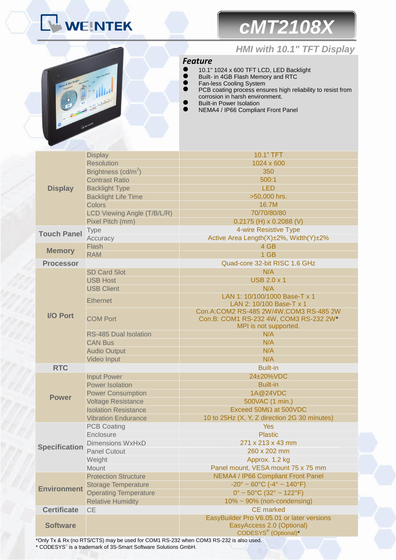# **NEINTEK**

## *cMT2108X*

*HMI with 10.1" TFT Display*



#### *Feature*

- <sup>1</sup> 10.1" 1024 x 600 TFT LCD, LED Backlight
- **Built- in 4GB Flash Memory and RTC**
- Fan-less Cooling System<br>● PCB coating process ens
- **•** PCB coating process ensures high reliability to resist from corrosion in harsh environment.
- Built-in Power Isolation
- NEMA4 / IP66 Compliant Front Panel

| <b>Display</b>       | <b>Display</b><br><b>Resolution</b> | 10.1" TFT<br>1024 x 600                                                          |  |  |
|----------------------|-------------------------------------|----------------------------------------------------------------------------------|--|--|
|                      | Brightness (cd/m <sup>2</sup> )     | 350                                                                              |  |  |
|                      | <b>Contrast Ratio</b>               | 500:1                                                                            |  |  |
|                      | <b>Backlight Type</b>               | <b>LED</b>                                                                       |  |  |
|                      | <b>Backlight Life Time</b>          | >50,000 hrs.                                                                     |  |  |
|                      | Colors                              | 16.7M                                                                            |  |  |
|                      | LCD Viewing Angle (T/B/L/R)         | 70/70/80/80                                                                      |  |  |
|                      | Pixel Pitch (mm)                    | $0.2175$ (H) x 0.2088 (V)                                                        |  |  |
|                      |                                     | 4-wire Resistive Type                                                            |  |  |
| <b>Touch Panel</b>   | <b>Type</b>                         | Active Area Length(X)±2%, Width(Y)±2%                                            |  |  |
|                      | Accuracy                            | 4 GB                                                                             |  |  |
| <b>Memory</b>        | Flash                               |                                                                                  |  |  |
|                      | <b>RAM</b>                          | 1 GB                                                                             |  |  |
| <b>Processor</b>     |                                     | Quad-core 32-bit RISC 1.6 GHz                                                    |  |  |
|                      | <b>SD Card Slot</b>                 | N/A                                                                              |  |  |
|                      | <b>USB Host</b>                     | <b>USB 2.0 x 1</b>                                                               |  |  |
|                      | <b>USB Client</b>                   | N/A                                                                              |  |  |
| <b>I/O Port</b>      | <b>Ethernet</b>                     | LAN 1: 10/100/1000 Base-T x 1<br>LAN 2: 10/100 Base-T x 1                        |  |  |
|                      | <b>COM Port</b>                     | Con.A:COM2 RS-485 2W/4W,COM3 RS-485 2W<br>Con.B: COM1 RS-232 4W, COM3 RS-232 2W* |  |  |
|                      |                                     | MPI is not supported.                                                            |  |  |
|                      | <b>RS-485 Dual Isolation</b>        | N/A                                                                              |  |  |
|                      | <b>CAN Bus</b>                      | N/A                                                                              |  |  |
|                      | <b>Audio Output</b>                 | N/A                                                                              |  |  |
|                      | Video Input                         | N/A                                                                              |  |  |
| <b>RTC</b>           |                                     | <b>Built-in</b>                                                                  |  |  |
|                      | <b>Input Power</b>                  | 24±20%VDC                                                                        |  |  |
|                      | <b>Power Isolation</b>              | <b>Built-in</b>                                                                  |  |  |
| <b>Power</b>         | <b>Power Consumption</b>            | 1A@24VDC                                                                         |  |  |
|                      | <b>Voltage Resistance</b>           | 500VAC (1 min.)                                                                  |  |  |
|                      | <b>Isolation Resistance</b>         | Exceed 50M $\Omega$ at 500VDC                                                    |  |  |
|                      | <b>Vibration Endurance</b>          | 10 to 25Hz (X, Y, Z direction 2G 30 minutes)                                     |  |  |
| <b>Specification</b> | <b>PCB Coating</b>                  | <b>Yes</b>                                                                       |  |  |
|                      | Enclosure                           | <b>Plastic</b>                                                                   |  |  |
|                      | <b>Dimensions WxHxD</b>             | 271 x 213 x 43 mm                                                                |  |  |
|                      | <b>Panel Cutout</b>                 | 260 x 202 mm                                                                     |  |  |
|                      | Weight                              | Approx. 1.2 kg                                                                   |  |  |
|                      | Mount                               | Panel mount, VESA mount 75 x 75 mm                                               |  |  |
| <b>Environment</b>   | <b>Protection Structure</b>         | NEMA4 / IP66 Compliant Front Panel                                               |  |  |
|                      | <b>Storage Temperature</b>          | $-20^{\circ} \sim 60^{\circ}$ C ( $-4^{\circ} \sim 140^{\circ}$ F)               |  |  |
|                      | <b>Operating Temperature</b>        | $0^{\circ}$ ~ 50°C (32° ~ 122°F)                                                 |  |  |
|                      | <b>Relative Humidity</b>            | 10% ~ 90% (non-condensing)                                                       |  |  |
| <b>Certificate</b>   | <b>CE</b>                           | <b>CE</b> marked                                                                 |  |  |
| <b>Software</b>      |                                     | EasyBuilder Pro V6.05.01 or later versions                                       |  |  |
|                      |                                     | EasyAccess 2.0 (Optional)                                                        |  |  |
|                      |                                     | CODESYS <sup>®</sup> (Optional)*                                                 |  |  |

\*Only Tx & Rx (no RTS/CTS) may be used for COM1 RS-232 when COM3 RS-232 is also used. \* CODESYS® is a trademark of 3S-Smart Software Solutions GmbH.